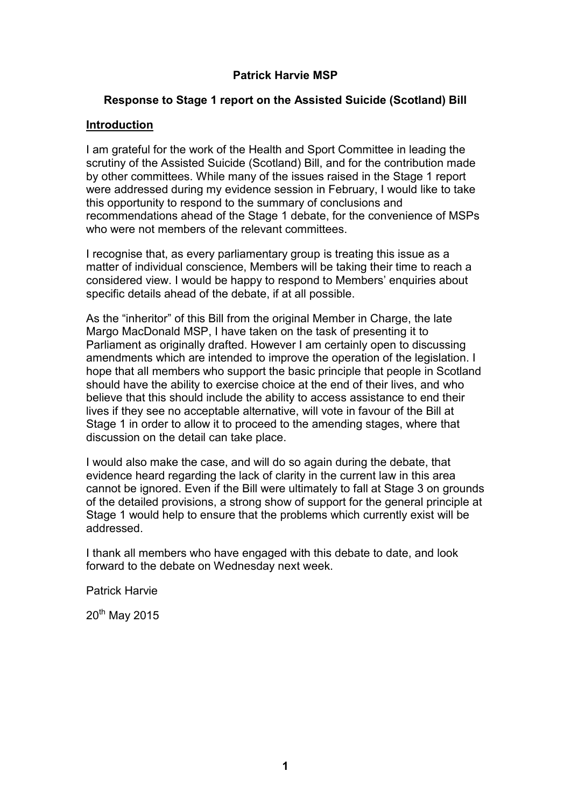# **Patrick Harvie MSP**

## **Response to Stage 1 report on the Assisted Suicide (Scotland) Bill**

#### **Introduction**

I am grateful for the work of the Health and Sport Committee in leading the scrutiny of the Assisted Suicide (Scotland) Bill, and for the contribution made by other committees. While many of the issues raised in the Stage 1 report were addressed during my evidence session in February, I would like to take this opportunity to respond to the summary of conclusions and recommendations ahead of the Stage 1 debate, for the convenience of MSPs who were not members of the relevant committees.

I recognise that, as every parliamentary group is treating this issue as a matter of individual conscience, Members will be taking their time to reach a considered view. I would be happy to respond to Members' enquiries about specific details ahead of the debate, if at all possible.

As the "inheritor" of this Bill from the original Member in Charge, the late Margo MacDonald MSP, I have taken on the task of presenting it to Parliament as originally drafted. However I am certainly open to discussing amendments which are intended to improve the operation of the legislation. I hope that all members who support the basic principle that people in Scotland should have the ability to exercise choice at the end of their lives, and who believe that this should include the ability to access assistance to end their lives if they see no acceptable alternative, will vote in favour of the Bill at Stage 1 in order to allow it to proceed to the amending stages, where that discussion on the detail can take place.

I would also make the case, and will do so again during the debate, that evidence heard regarding the lack of clarity in the current law in this area cannot be ignored. Even if the Bill were ultimately to fall at Stage 3 on grounds of the detailed provisions, a strong show of support for the general principle at Stage 1 would help to ensure that the problems which currently exist will be addressed.

I thank all members who have engaged with this debate to date, and look forward to the debate on Wednesday next week.

Patrick Harvie

20<sup>th</sup> May 2015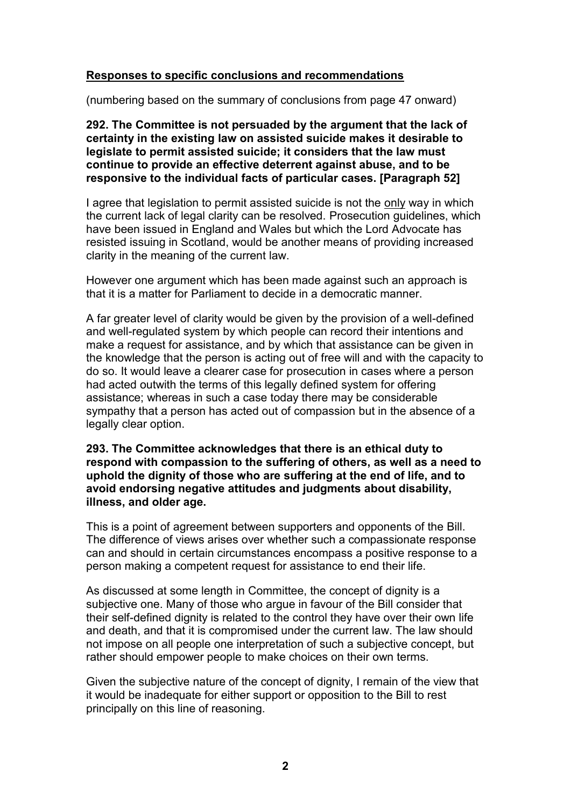## **Responses to specific conclusions and recommendations**

(numbering based on the summary of conclusions from page 47 onward)

**292. The Committee is not persuaded by the argument that the lack of certainty in the existing law on assisted suicide makes it desirable to legislate to permit assisted suicide; it considers that the law must continue to provide an effective deterrent against abuse, and to be responsive to the individual facts of particular cases. [Paragraph 52]**

I agree that legislation to permit assisted suicide is not the only way in which the current lack of legal clarity can be resolved. Prosecution guidelines, which have been issued in England and Wales but which the Lord Advocate has resisted issuing in Scotland, would be another means of providing increased clarity in the meaning of the current law.

However one argument which has been made against such an approach is that it is a matter for Parliament to decide in a democratic manner.

A far greater level of clarity would be given by the provision of a well-defined and well-regulated system by which people can record their intentions and make a request for assistance, and by which that assistance can be given in the knowledge that the person is acting out of free will and with the capacity to do so. It would leave a clearer case for prosecution in cases where a person had acted outwith the terms of this legally defined system for offering assistance; whereas in such a case today there may be considerable sympathy that a person has acted out of compassion but in the absence of a legally clear option.

### **293. The Committee acknowledges that there is an ethical duty to respond with compassion to the suffering of others, as well as a need to uphold the dignity of those who are suffering at the end of life, and to avoid endorsing negative attitudes and judgments about disability, illness, and older age.**

This is a point of agreement between supporters and opponents of the Bill. The difference of views arises over whether such a compassionate response can and should in certain circumstances encompass a positive response to a person making a competent request for assistance to end their life.

As discussed at some length in Committee, the concept of dignity is a subjective one. Many of those who argue in favour of the Bill consider that their self-defined dignity is related to the control they have over their own life and death, and that it is compromised under the current law. The law should not impose on all people one interpretation of such a subjective concept, but rather should empower people to make choices on their own terms.

Given the subjective nature of the concept of dignity, I remain of the view that it would be inadequate for either support or opposition to the Bill to rest principally on this line of reasoning.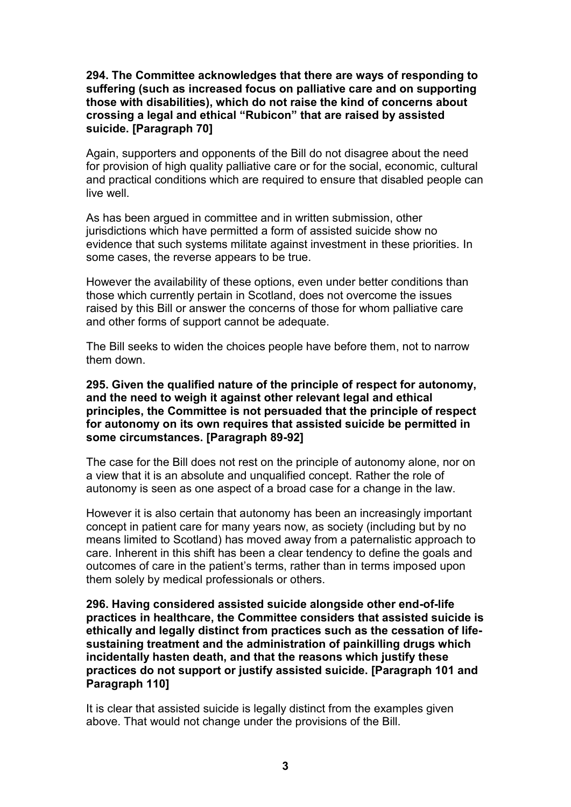## **294. The Committee acknowledges that there are ways of responding to suffering (such as increased focus on palliative care and on supporting those with disabilities), which do not raise the kind of concerns about crossing a legal and ethical "Rubicon" that are raised by assisted suicide. [Paragraph 70]**

Again, supporters and opponents of the Bill do not disagree about the need for provision of high quality palliative care or for the social, economic, cultural and practical conditions which are required to ensure that disabled people can live well.

As has been argued in committee and in written submission, other jurisdictions which have permitted a form of assisted suicide show no evidence that such systems militate against investment in these priorities. In some cases, the reverse appears to be true.

However the availability of these options, even under better conditions than those which currently pertain in Scotland, does not overcome the issues raised by this Bill or answer the concerns of those for whom palliative care and other forms of support cannot be adequate.

The Bill seeks to widen the choices people have before them, not to narrow them down.

**295. Given the qualified nature of the principle of respect for autonomy, and the need to weigh it against other relevant legal and ethical principles, the Committee is not persuaded that the principle of respect for autonomy on its own requires that assisted suicide be permitted in some circumstances. [Paragraph 89-92]**

The case for the Bill does not rest on the principle of autonomy alone, nor on a view that it is an absolute and unqualified concept. Rather the role of autonomy is seen as one aspect of a broad case for a change in the law.

However it is also certain that autonomy has been an increasingly important concept in patient care for many years now, as society (including but by no means limited to Scotland) has moved away from a paternalistic approach to care. Inherent in this shift has been a clear tendency to define the goals and outcomes of care in the patient's terms, rather than in terms imposed upon them solely by medical professionals or others.

**296. Having considered assisted suicide alongside other end-of-life practices in healthcare, the Committee considers that assisted suicide is ethically and legally distinct from practices such as the cessation of lifesustaining treatment and the administration of painkilling drugs which incidentally hasten death, and that the reasons which justify these practices do not support or justify assisted suicide. [Paragraph 101 and Paragraph 110]**

It is clear that assisted suicide is legally distinct from the examples given above. That would not change under the provisions of the Bill.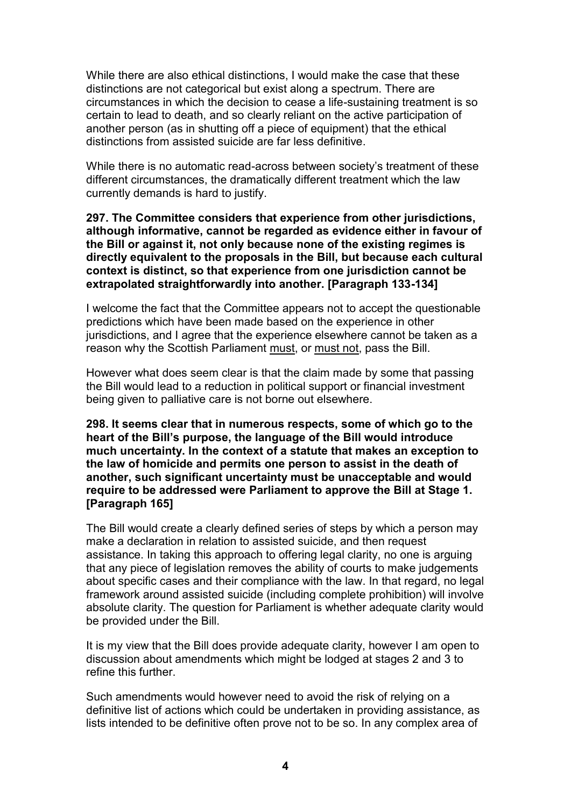While there are also ethical distinctions, I would make the case that these distinctions are not categorical but exist along a spectrum. There are circumstances in which the decision to cease a life-sustaining treatment is so certain to lead to death, and so clearly reliant on the active participation of another person (as in shutting off a piece of equipment) that the ethical distinctions from assisted suicide are far less definitive.

While there is no automatic read-across between society's treatment of these different circumstances, the dramatically different treatment which the law currently demands is hard to justify.

**297. The Committee considers that experience from other jurisdictions, although informative, cannot be regarded as evidence either in favour of the Bill or against it, not only because none of the existing regimes is directly equivalent to the proposals in the Bill, but because each cultural context is distinct, so that experience from one jurisdiction cannot be extrapolated straightforwardly into another. [Paragraph 133-134]**

I welcome the fact that the Committee appears not to accept the questionable predictions which have been made based on the experience in other jurisdictions, and I agree that the experience elsewhere cannot be taken as a reason why the Scottish Parliament must, or must not, pass the Bill.

However what does seem clear is that the claim made by some that passing the Bill would lead to a reduction in political support or financial investment being given to palliative care is not borne out elsewhere.

**298. It seems clear that in numerous respects, some of which go to the heart of the Bill's purpose, the language of the Bill would introduce much uncertainty. In the context of a statute that makes an exception to the law of homicide and permits one person to assist in the death of another, such significant uncertainty must be unacceptable and would require to be addressed were Parliament to approve the Bill at Stage 1. [Paragraph 165]**

The Bill would create a clearly defined series of steps by which a person may make a declaration in relation to assisted suicide, and then request assistance. In taking this approach to offering legal clarity, no one is arguing that any piece of legislation removes the ability of courts to make judgements about specific cases and their compliance with the law. In that regard, no legal framework around assisted suicide (including complete prohibition) will involve absolute clarity. The question for Parliament is whether adequate clarity would be provided under the Bill.

It is my view that the Bill does provide adequate clarity, however I am open to discussion about amendments which might be lodged at stages 2 and 3 to refine this further.

Such amendments would however need to avoid the risk of relying on a definitive list of actions which could be undertaken in providing assistance, as lists intended to be definitive often prove not to be so. In any complex area of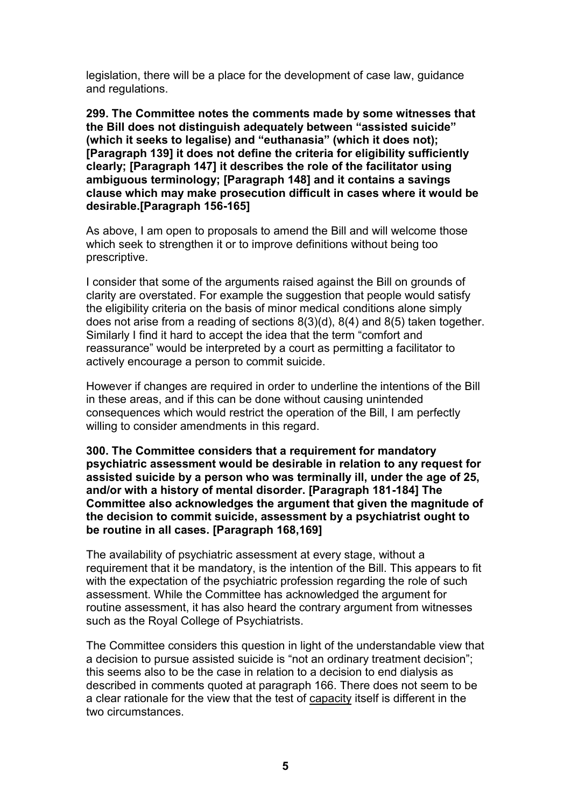legislation, there will be a place for the development of case law, guidance and regulations.

**299. The Committee notes the comments made by some witnesses that the Bill does not distinguish adequately between "assisted suicide" (which it seeks to legalise) and "euthanasia" (which it does not); [Paragraph 139] it does not define the criteria for eligibility sufficiently clearly; [Paragraph 147] it describes the role of the facilitator using ambiguous terminology; [Paragraph 148] and it contains a savings clause which may make prosecution difficult in cases where it would be desirable.[Paragraph 156-165]**

As above, I am open to proposals to amend the Bill and will welcome those which seek to strengthen it or to improve definitions without being too prescriptive.

I consider that some of the arguments raised against the Bill on grounds of clarity are overstated. For example the suggestion that people would satisfy the eligibility criteria on the basis of minor medical conditions alone simply does not arise from a reading of sections 8(3)(d), 8(4) and 8(5) taken together. Similarly I find it hard to accept the idea that the term "comfort and reassurance" would be interpreted by a court as permitting a facilitator to actively encourage a person to commit suicide.

However if changes are required in order to underline the intentions of the Bill in these areas, and if this can be done without causing unintended consequences which would restrict the operation of the Bill, I am perfectly willing to consider amendments in this regard.

**300. The Committee considers that a requirement for mandatory psychiatric assessment would be desirable in relation to any request for assisted suicide by a person who was terminally ill, under the age of 25, and/or with a history of mental disorder. [Paragraph 181-184] The Committee also acknowledges the argument that given the magnitude of the decision to commit suicide, assessment by a psychiatrist ought to be routine in all cases. [Paragraph 168,169]**

The availability of psychiatric assessment at every stage, without a requirement that it be mandatory, is the intention of the Bill. This appears to fit with the expectation of the psychiatric profession regarding the role of such assessment. While the Committee has acknowledged the argument for routine assessment, it has also heard the contrary argument from witnesses such as the Royal College of Psychiatrists.

The Committee considers this question in light of the understandable view that a decision to pursue assisted suicide is "not an ordinary treatment decision"; this seems also to be the case in relation to a decision to end dialysis as described in comments quoted at paragraph 166. There does not seem to be a clear rationale for the view that the test of capacity itself is different in the two circumstances.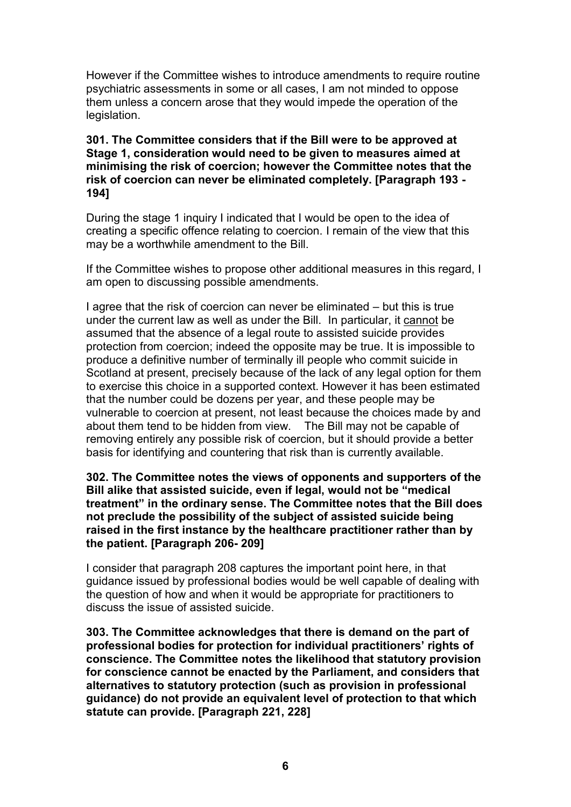However if the Committee wishes to introduce amendments to require routine psychiatric assessments in some or all cases, I am not minded to oppose them unless a concern arose that they would impede the operation of the legislation.

## **301. The Committee considers that if the Bill were to be approved at Stage 1, consideration would need to be given to measures aimed at minimising the risk of coercion; however the Committee notes that the risk of coercion can never be eliminated completely. [Paragraph 193 - 194]**

During the stage 1 inquiry I indicated that I would be open to the idea of creating a specific offence relating to coercion. I remain of the view that this may be a worthwhile amendment to the Bill.

If the Committee wishes to propose other additional measures in this regard, I am open to discussing possible amendments.

I agree that the risk of coercion can never be eliminated – but this is true under the current law as well as under the Bill. In particular, it cannot be assumed that the absence of a legal route to assisted suicide provides protection from coercion; indeed the opposite may be true. It is impossible to produce a definitive number of terminally ill people who commit suicide in Scotland at present, precisely because of the lack of any legal option for them to exercise this choice in a supported context. However it has been estimated that the number could be dozens per year, and these people may be vulnerable to coercion at present, not least because the choices made by and about them tend to be hidden from view. The Bill may not be capable of removing entirely any possible risk of coercion, but it should provide a better basis for identifying and countering that risk than is currently available.

## **302. The Committee notes the views of opponents and supporters of the Bill alike that assisted suicide, even if legal, would not be "medical treatment" in the ordinary sense. The Committee notes that the Bill does not preclude the possibility of the subject of assisted suicide being raised in the first instance by the healthcare practitioner rather than by the patient. [Paragraph 206- 209]**

I consider that paragraph 208 captures the important point here, in that guidance issued by professional bodies would be well capable of dealing with the question of how and when it would be appropriate for practitioners to discuss the issue of assisted suicide.

**303. The Committee acknowledges that there is demand on the part of professional bodies for protection for individual practitioners' rights of conscience. The Committee notes the likelihood that statutory provision for conscience cannot be enacted by the Parliament, and considers that alternatives to statutory protection (such as provision in professional guidance) do not provide an equivalent level of protection to that which statute can provide. [Paragraph 221, 228]**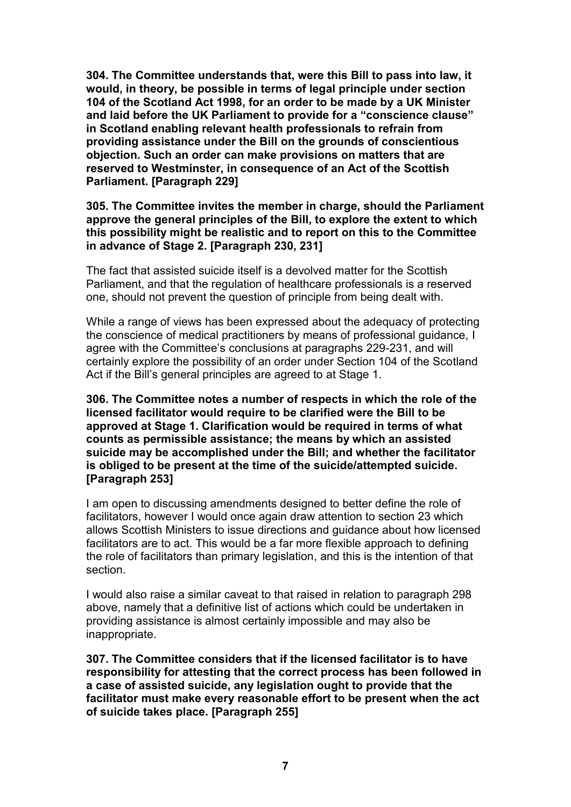**304. The Committee understands that, were this Bill to pass into law, it would, in theory, be possible in terms of legal principle under section 104 of the Scotland Act 1998, for an order to be made by a UK Minister and laid before the UK Parliament to provide for a "conscience clause" in Scotland enabling relevant health professionals to refrain from providing assistance under the Bill on the grounds of conscientious objection. Such an order can make provisions on matters that are reserved to Westminster, in consequence of an Act of the Scottish Parliament. [Paragraph 229]**

## **305. The Committee invites the member in charge, should the Parliament approve the general principles of the Bill, to explore the extent to which this possibility might be realistic and to report on this to the Committee in advance of Stage 2. [Paragraph 230, 231]**

The fact that assisted suicide itself is a devolved matter for the Scottish Parliament, and that the regulation of healthcare professionals is a reserved one, should not prevent the question of principle from being dealt with.

While a range of views has been expressed about the adequacy of protecting the conscience of medical practitioners by means of professional guidance, I agree with the Committee's conclusions at paragraphs 229-231, and will certainly explore the possibility of an order under Section 104 of the Scotland Act if the Bill's general principles are agreed to at Stage 1.

**306. The Committee notes a number of respects in which the role of the licensed facilitator would require to be clarified were the Bill to be approved at Stage 1. Clarification would be required in terms of what counts as permissible assistance; the means by which an assisted suicide may be accomplished under the Bill; and whether the facilitator is obliged to be present at the time of the suicide/attempted suicide. [Paragraph 253]**

I am open to discussing amendments designed to better define the role of facilitators, however I would once again draw attention to section 23 which allows Scottish Ministers to issue directions and guidance about how licensed facilitators are to act. This would be a far more flexible approach to defining the role of facilitators than primary legislation, and this is the intention of that section.

I would also raise a similar caveat to that raised in relation to paragraph 298 above, namely that a definitive list of actions which could be undertaken in providing assistance is almost certainly impossible and may also be inappropriate.

**307. The Committee considers that if the licensed facilitator is to have responsibility for attesting that the correct process has been followed in a case of assisted suicide, any legislation ought to provide that the facilitator must make every reasonable effort to be present when the act of suicide takes place. [Paragraph 255]**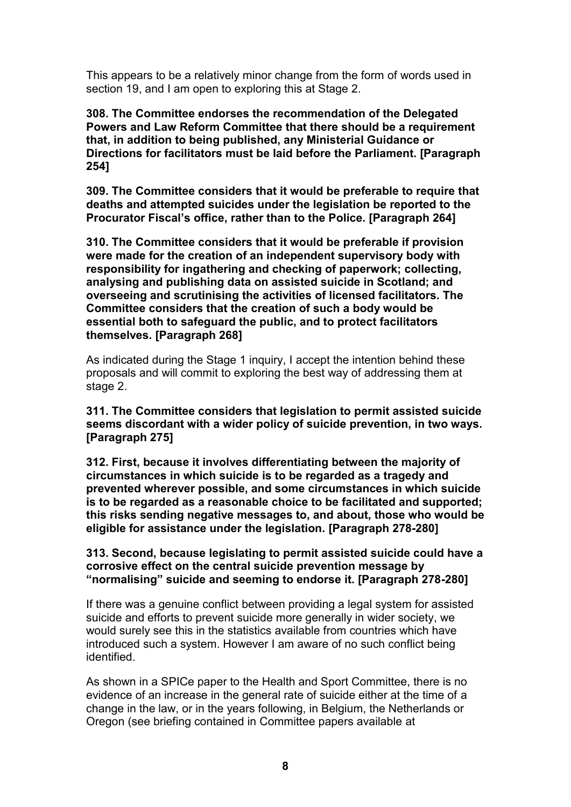This appears to be a relatively minor change from the form of words used in section 19, and I am open to exploring this at Stage 2.

**308. The Committee endorses the recommendation of the Delegated Powers and Law Reform Committee that there should be a requirement that, in addition to being published, any Ministerial Guidance or Directions for facilitators must be laid before the Parliament. [Paragraph 254]**

**309. The Committee considers that it would be preferable to require that deaths and attempted suicides under the legislation be reported to the Procurator Fiscal's office, rather than to the Police. [Paragraph 264]**

**310. The Committee considers that it would be preferable if provision were made for the creation of an independent supervisory body with responsibility for ingathering and checking of paperwork; collecting, analysing and publishing data on assisted suicide in Scotland; and overseeing and scrutinising the activities of licensed facilitators. The Committee considers that the creation of such a body would be essential both to safeguard the public, and to protect facilitators themselves. [Paragraph 268]**

As indicated during the Stage 1 inquiry, I accept the intention behind these proposals and will commit to exploring the best way of addressing them at stage 2.

**311. The Committee considers that legislation to permit assisted suicide seems discordant with a wider policy of suicide prevention, in two ways. [Paragraph 275]**

**312. First, because it involves differentiating between the majority of circumstances in which suicide is to be regarded as a tragedy and prevented wherever possible, and some circumstances in which suicide is to be regarded as a reasonable choice to be facilitated and supported; this risks sending negative messages to, and about, those who would be eligible for assistance under the legislation. [Paragraph 278-280]**

**313. Second, because legislating to permit assisted suicide could have a corrosive effect on the central suicide prevention message by "normalising" suicide and seeming to endorse it. [Paragraph 278-280]**

If there was a genuine conflict between providing a legal system for assisted suicide and efforts to prevent suicide more generally in wider society, we would surely see this in the statistics available from countries which have introduced such a system. However I am aware of no such conflict being identified.

As shown in a SPICe paper to the Health and Sport Committee, there is no evidence of an increase in the general rate of suicide either at the time of a change in the law, or in the years following, in Belgium, the Netherlands or Oregon (see briefing contained in Committee papers available at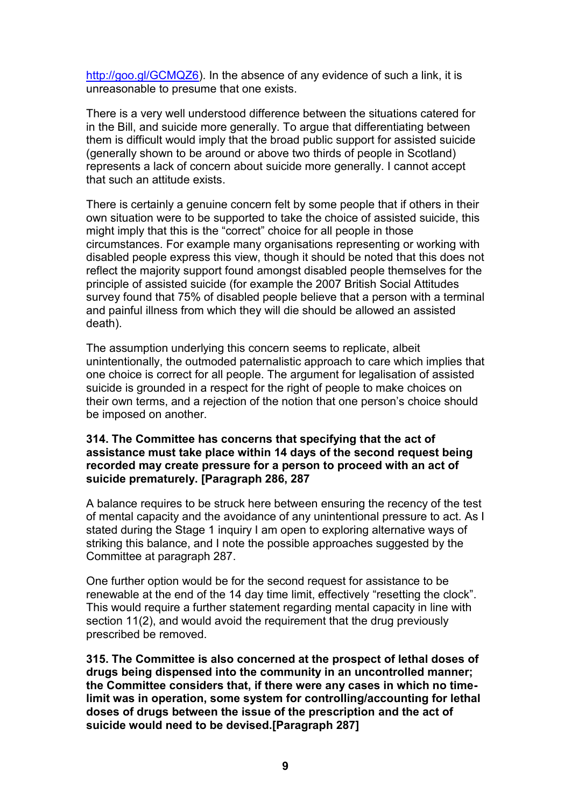[http://goo.gl/GCMQZ6\)](http://goo.gl/GCMQZ6). In the absence of any evidence of such a link, it is unreasonable to presume that one exists.

There is a very well understood difference between the situations catered for in the Bill, and suicide more generally. To argue that differentiating between them is difficult would imply that the broad public support for assisted suicide (generally shown to be around or above two thirds of people in Scotland) represents a lack of concern about suicide more generally. I cannot accept that such an attitude exists.

There is certainly a genuine concern felt by some people that if others in their own situation were to be supported to take the choice of assisted suicide, this might imply that this is the "correct" choice for all people in those circumstances. For example many organisations representing or working with disabled people express this view, though it should be noted that this does not reflect the majority support found amongst disabled people themselves for the principle of assisted suicide (for example the 2007 British Social Attitudes survey found that 75% of disabled people believe that a person with a terminal and painful illness from which they will die should be allowed an assisted death).

The assumption underlying this concern seems to replicate, albeit unintentionally, the outmoded paternalistic approach to care which implies that one choice is correct for all people. The argument for legalisation of assisted suicide is grounded in a respect for the right of people to make choices on their own terms, and a rejection of the notion that one person's choice should be imposed on another.

#### **314. The Committee has concerns that specifying that the act of assistance must take place within 14 days of the second request being recorded may create pressure for a person to proceed with an act of suicide prematurely. [Paragraph 286, 287**

A balance requires to be struck here between ensuring the recency of the test of mental capacity and the avoidance of any unintentional pressure to act. As I stated during the Stage 1 inquiry I am open to exploring alternative ways of striking this balance, and I note the possible approaches suggested by the Committee at paragraph 287.

One further option would be for the second request for assistance to be renewable at the end of the 14 day time limit, effectively "resetting the clock". This would require a further statement regarding mental capacity in line with section 11(2), and would avoid the requirement that the drug previously prescribed be removed.

**315. The Committee is also concerned at the prospect of lethal doses of drugs being dispensed into the community in an uncontrolled manner; the Committee considers that, if there were any cases in which no timelimit was in operation, some system for controlling/accounting for lethal doses of drugs between the issue of the prescription and the act of suicide would need to be devised.[Paragraph 287]**